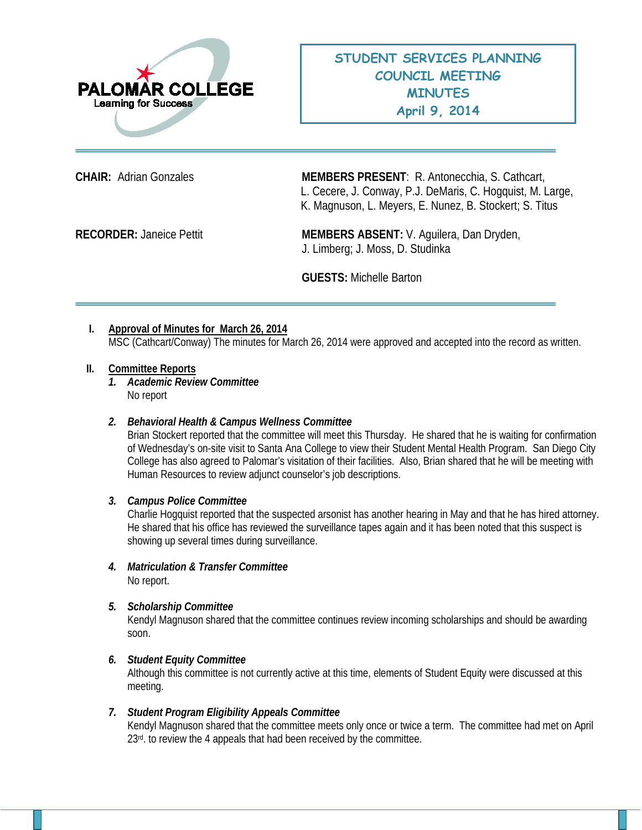

**CHAIR:** Adrian Gonzales **MEMBERS PRESENT**: R. Antonecchia, S. Cathcart, L. Cecere, J. Conway, P.J. DeMaris, C. Hogquist, M. Large, K. Magnuson, L. Meyers, E. Nunez, B. Stockert; S. Titus

RECORDER: Janeice Pettit **MEMBERS ABSENT:** V. Aguilera, Dan Dryden, J. Limberg; J. Moss, D. Studinka

**GUESTS:** Michelle Barton

# **I. Approval of Minutes for March 26, 2014**

MSC (Cathcart/Conway) The minutes for March 26, 2014 were approved and accepted into the record as written.

### **II. Committee Reports**

*1. Academic Review Committee*  No report

## *2. Behavioral Health & Campus Wellness Committee*

Brian Stockert reported that the committee will meet this Thursday. He shared that he is waiting for confirmation of Wednesday's on-site visit to Santa Ana College to view their Student Mental Health Program. San Diego City College has also agreed to Palomar's visitation of their facilities. Also, Brian shared that he will be meeting with Human Resources to review adjunct counselor's job descriptions.

### *3. Campus Police Committee*

Charlie Hogquist reported that the suspected arsonist has another hearing in May and that he has hired attorney. He shared that his office has reviewed the surveillance tapes again and it has been noted that this suspect is showing up several times during surveillance.

*4. Matriculation & Transfer Committee* No report.

### *5. Scholarship Committee*

Kendyl Magnuson shared that the committee continues review incoming scholarships and should be awarding soon.

### *6. Student Equity Committee*

Although this committee is not currently active at this time, elements of Student Equity were discussed at this meeting.

### *7. Student Program Eligibility Appeals Committee*

Kendyl Magnuson shared that the committee meets only once or twice a term. The committee had met on April  $23<sup>rd</sup>$ . to review the 4 appeals that had been received by the committee.